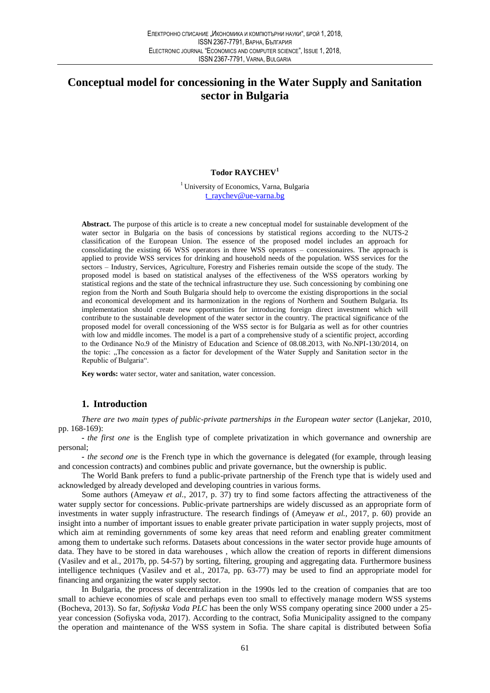# Conceptual model for concessioning in the Water Supply and Sanitation sector in Bulgaria

### **Todor RAYCHEV<sup>1</sup>**

<sup>1</sup> University of Economics, Varna, Bulgaria t ravchev@ue-varna.bg

Abstract. The purpose of this article is to create a new conceptual model for sustainable development of the water sector in Bulgaria on the basis of concessions by statistical regions according to the NUTS-2 classification of the European Union. The essence of the proposed model includes an approach for consolidating the existing 66 WSS operators in three WSS operators – concessionaires. The approach is applied to provide WSS services for drinking and household needs of the population. WSS services for the sectors - Industry, Services, Agriculture, Forestry and Fisheries remain outside the scope of the study. The proposed model is based on statistical analyses of the effectiveness of the WSS operators working by statistical regions and the state of the technical infrastructure they use. Such concessioning by combining one region from the North and South Bulgaria should help to overcome the existing disproportions in the social and economical development and its harmonization in the regions of Northern and Southern Bulgaria. Its implementation should create new opportunities for introducing foreign direct investment which will contribute to the sustainable development of the water sector in the country. The practical significance of the proposed model for overall concessioning of the WSS sector is for Bulgaria as well as for other countries with low and middle incomes. The model is a part of a comprehensive study of a scientific project, according to the Ordinance No.9 of the Ministry of Education and Science of 08.08.2013, with No.NPI-130/2014, on the topic: "The concession as a factor for development of the Water Supply and Sanitation sector in the Republic of Bulgaria".

Key words: water sector, water and sanitation, water concession.

# 1. Introduction

There are two main types of public-private partnerships in the European water sector (Lanjekar, 2010, pp. 168-169):

- the first one is the English type of complete privatization in which governance and ownership are personal:

*- the second one* is the French type in which the governance is delegated (for example, through leasing and concession contracts) and combines public and private governance, but the ownership is public.

The World Bank prefers to fund a public-private partnership of the French type that is widely used and acknowledged by already developed and developing countries in various forms.

Some authors (Ameyaw et al., 2017, p. 37) try to find some factors affecting the attractiveness of the water supply sector for concessions. Public-private partnerships are widely discussed as an appropriate form of investments in water supply infrastructure. The research findings of (Ameyaw et al., 2017, p. 60) provide an insight into a number of important issues to enable greater private participation in water supply projects, most of which aim at reminding governments of some key areas that need reform and enabling greater commitment among them to undertake such reforms. Datasets about concessions in the water sector provide huge amounts of data. They have to be stored in data warehouses, which allow the creation of reports in different dimensions (Vasilev and et al., 2017b, pp. 54-57) by sorting, filtering, grouping and aggregating data. Furthermore business intelligence techniques (Vasilev and et al., 2017a, pp. 63-77) may be used to find an appropriate model for financing and organizing the water supply sector.

In Bulgaria, the process of decentralization in the 1990s led to the creation of companies that are too small to achieve economies of scale and perhaps even too small to effectively manage modern WSS systems (Bocheva, 2013). So far, Sofiyska Voda PLC has been the only WSS company operating since 2000 under a 25year concession (Sofiyska voda, 2017). According to the contract, Sofia Municipality assigned to the company the operation and maintenance of the WSS system in Sofia. The share capital is distributed between Sofia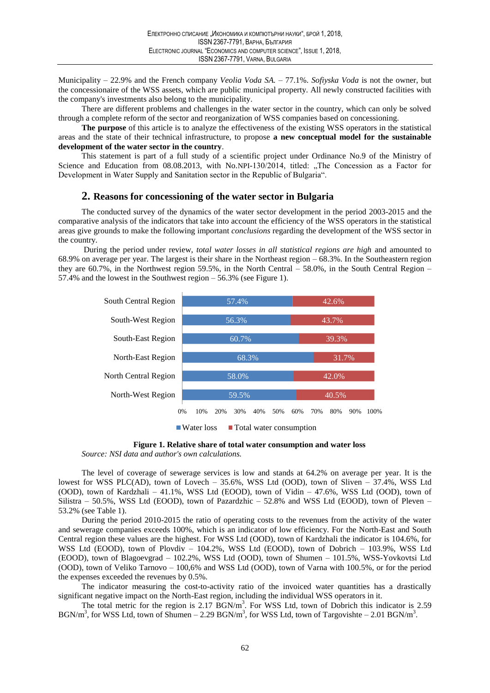Municipality – 22.9% and the French company *Veolia Voda SA.* – 77.1%. Sofiyska *Voda* is not the owner, but the concessionaire of the WSS assets, which are public municipal property. All newly constructed facilities with the company's investments also belong to the municipality.

There are different problems and challenges in the water sector in the country, which can only be solved through a complete reform of the sector and reorganization of WSS companies based on concessioning.

The purpose of this article is to analyze the effectiveness of the existing WSS operators in the statistical areas and the state of their technical infrastructure, to propose a new conceptual model for the sustainable development of the water sector in the country.

This statement is part of a full study of a scientific project under Ordinance No.9 of the Ministry of Science and Education from 08.08.2013, with No.NPI-130/2014, titled: "The Concession as a Factor for Development in Water Supply and Sanitation sector in the Republic of Bulgaria".

# 2. Reasons for concessioning of the water sector in Bulgaria

The conducted survey of the dynamics of the water sector development in the period 2003-2015 and the comparative analysis of the indicators that take into account the efficiency of the WSS operators in the statistical areas give grounds to make the following important *conclusions* regarding the development of the WSS sector in the country.

During the period under review, *total water losses in all statistical regions are high* and amounted to 68.9% on average per year. The largest is their share in the Northeast region  $-68.3\%$ . In the Southeastern region they are 60.7%, in the Northwest region 59.5%, in the North Central  $-$  58.0%, in the South Central Region – 57.4% and the lowest in the Southwest region  $-56.3\%$  (see Figure 1).



Figure 1. Relative share of total water consumption and water loss

Source: NSI data and author's own calculations.

The level of coverage of sewerage services is low and stands at 64.2% on average per year. It is the lowest for WSS PLC(AD), town of Lovech – 35.6%, WSS Ltd (OOD), town of Sliven –  $37.4\%$ , WSS Ltd (OOD), town of Kardzhali  $-41.1\%$ , WSS Ltd (EOOD), town of Vidin  $-47.6\%$ , WSS Ltd (OOD), town of Silistra – 50.5%, WSS Ltd (EOOD), town of Pazardzhic – 52.8% and WSS Ltd (EOOD), town of Pleven – 53.2% (see Table 1).

During the period 2010-2015 the ratio of operating costs to the revenues from the activity of the water and sewerage companies exceeds 100%, which is an indicator of low efficiency. For the North-East and South Central region these values are the highest. For WSS Ltd (OOD), town of Kardzhali the indicator is 104.6%, for WSS Ltd (EOOD), town of Plovdiv - 104.2%, WSS Ltd (EOOD), town of Dobrich - 103.9%, WSS Ltd (EOOD), town of Blagoevgrad - 102.2%, WSS Ltd (OOD), town of Shumen - 101.5%, WSS-Yovkovtsi Ltd (OOD), town of Veliko Tarnovo - 100,6% and WSS Ltd (OOD), town of Varna with 100.5%, or for the period the expenses exceeded the revenues by 0.5%.

The indicator measuring the cost-to-activity ratio of the invoiced water quantities has a drastically significant negative impact on the North-East region, including the individual WSS operators in it.

The total metric for the region is 2.17 BGN/m<sup>3</sup>. For WSS Ltd, town of Dobrich this indicator is 2.59 BGN/m<sup>3</sup>, for WSS Ltd, town of Shumen – 2.29 BGN/m<sup>3</sup>, for WSS Ltd, town of Targovishte – 2.01 BGN/m<sup>3</sup>.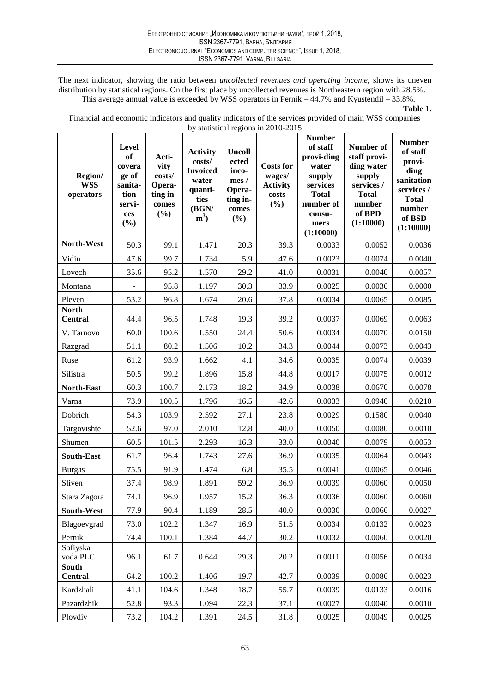The next indicator, showing the ratio between uncollected revenues and operating income, shows its uneven distribution by statistical regions. On the first place by uncollected revenues is Northeastern region with 28.5%. This average annual value is exceeded by WSS operators in Pernik  $-44.7\%$  and Kyustendil  $-33.8\%$ .

Financial and economic indicators and quality indicators of the services provided of main WSS companies by statistical regions in 2010-2015

| Region/<br><b>WSS</b><br>operators | <b>Level</b><br><b>of</b><br>covera<br>ge of<br>sanita-<br>tion<br>servi-<br>ces<br>$(\%)$ | Acti-<br>vity<br>costs/<br>Opera-<br>ting in-<br>comes<br>$(\%)$ | <b>Activity</b><br>costs/<br><b>Invoiced</b><br>water<br>quanti-<br>ties<br>(BGN/<br>$m^3$ | <b>Uncoll</b><br>ected<br>inco-<br>mes/<br>Opera-<br>ting in-<br>comes<br>(%) | <b>Costs for</b><br>wages/<br><b>Activity</b><br>costs<br>(%) | <b>Number</b><br>of staff<br>provi-ding<br>water<br>supply<br>services<br><b>Total</b><br>number of<br>consu-<br>mers<br>(1:10000) | Number of<br>staff provi-<br>ding water<br>supply<br>services /<br><b>Total</b><br>number<br>of BPD<br>(1:10000) | <b>Number</b><br>of staff<br>provi-<br>ding<br>sanitation<br>services /<br><b>Total</b><br>number<br>of BSD<br>(1:10000) |
|------------------------------------|--------------------------------------------------------------------------------------------|------------------------------------------------------------------|--------------------------------------------------------------------------------------------|-------------------------------------------------------------------------------|---------------------------------------------------------------|------------------------------------------------------------------------------------------------------------------------------------|------------------------------------------------------------------------------------------------------------------|--------------------------------------------------------------------------------------------------------------------------|
| North-West                         | 50.3                                                                                       | 99.1                                                             | 1.471                                                                                      | 20.3                                                                          | 39.3                                                          | 0.0033                                                                                                                             | 0.0052                                                                                                           | 0.0036                                                                                                                   |
| Vidin                              | 47.6                                                                                       | 99.7                                                             | 1.734                                                                                      | 5.9                                                                           | 47.6                                                          | 0.0023                                                                                                                             | 0.0074                                                                                                           | 0.0040                                                                                                                   |
| Lovech                             | 35.6                                                                                       | 95.2                                                             | 1.570                                                                                      | 29.2                                                                          | 41.0                                                          | 0.0031                                                                                                                             | 0.0040                                                                                                           | 0.0057                                                                                                                   |
| Montana                            |                                                                                            | 95.8                                                             | 1.197                                                                                      | 30.3                                                                          | 33.9                                                          | 0.0025                                                                                                                             | 0.0036                                                                                                           | 0.0000                                                                                                                   |
| Pleven                             | 53.2                                                                                       | 96.8                                                             | 1.674                                                                                      | 20.6                                                                          | 37.8                                                          | 0.0034                                                                                                                             | 0.0065                                                                                                           | 0.0085                                                                                                                   |
| <b>North</b><br><b>Central</b>     | 44.4                                                                                       | 96.5                                                             | 1.748                                                                                      | 19.3                                                                          | 39.2                                                          | 0.0037                                                                                                                             | 0.0069                                                                                                           | 0.0063                                                                                                                   |
| V. Tarnovo                         | 60.0                                                                                       | 100.6                                                            | 1.550                                                                                      | 24.4                                                                          | 50.6                                                          | 0.0034                                                                                                                             | 0.0070                                                                                                           | 0.0150                                                                                                                   |
| Razgrad                            | 51.1                                                                                       | 80.2                                                             | 1.506                                                                                      | 10.2                                                                          | 34.3                                                          | 0.0044                                                                                                                             | 0.0073                                                                                                           | 0.0043                                                                                                                   |
| Ruse                               | 61.2                                                                                       | 93.9                                                             | 1.662                                                                                      | 4.1                                                                           | 34.6                                                          | 0.0035                                                                                                                             | 0.0074                                                                                                           | 0.0039                                                                                                                   |
| Silistra                           | 50.5                                                                                       | 99.2                                                             | 1.896                                                                                      | 15.8                                                                          | 44.8                                                          | 0.0017                                                                                                                             | 0.0075                                                                                                           | 0.0012                                                                                                                   |
| North-East                         | 60.3                                                                                       | 100.7                                                            | 2.173                                                                                      | 18.2                                                                          | 34.9                                                          | 0.0038                                                                                                                             | 0.0670                                                                                                           | 0.0078                                                                                                                   |
| Varna                              | 73.9                                                                                       | 100.5                                                            | 1.796                                                                                      | 16.5                                                                          | 42.6                                                          | 0.0033                                                                                                                             | 0.0940                                                                                                           | 0.0210                                                                                                                   |
| Dobrich                            | 54.3                                                                                       | 103.9                                                            | 2.592                                                                                      | 27.1                                                                          | 23.8                                                          | 0.0029                                                                                                                             | 0.1580                                                                                                           | 0.0040                                                                                                                   |
| Targovishte                        | 52.6                                                                                       | 97.0                                                             | 2.010                                                                                      | 12.8                                                                          | 40.0                                                          | 0.0050                                                                                                                             | 0.0080                                                                                                           | 0.0010                                                                                                                   |
| Shumen                             | 60.5                                                                                       | 101.5                                                            | 2.293                                                                                      | 16.3                                                                          | 33.0                                                          | 0.0040                                                                                                                             | 0.0079                                                                                                           | 0.0053                                                                                                                   |
| <b>South-East</b>                  | 61.7                                                                                       | 96.4                                                             | 1.743                                                                                      | 27.6                                                                          | 36.9                                                          | 0.0035                                                                                                                             | 0.0064                                                                                                           | 0.0043                                                                                                                   |
| <b>Burgas</b>                      | 75.5                                                                                       | 91.9                                                             | 1.474                                                                                      | 6.8                                                                           | 35.5                                                          | 0.0041                                                                                                                             | 0.0065                                                                                                           | 0.0046                                                                                                                   |
| Sliven                             | 37.4                                                                                       | 98.9                                                             | 1.891                                                                                      | 59.2                                                                          | 36.9                                                          | 0.0039                                                                                                                             | 0.0060                                                                                                           | 0.0050                                                                                                                   |
| Stara Zagora                       | 74.1                                                                                       | 96.9                                                             | 1.957                                                                                      | 15.2                                                                          | 36.3                                                          | 0.0036                                                                                                                             | 0.0060                                                                                                           | 0.0060                                                                                                                   |
| South-West                         | 77.9                                                                                       | 90.4                                                             | 1.189                                                                                      | 28.5                                                                          | 40.0                                                          | 0.0030                                                                                                                             | 0.0066                                                                                                           | 0.0027                                                                                                                   |
| Blagoevgrad                        | 73.0                                                                                       | 102.2                                                            | 1.347                                                                                      | 16.9                                                                          | 51.5                                                          | 0.0034                                                                                                                             | 0.0132                                                                                                           | 0.0023                                                                                                                   |
| Pernik                             | 74.4                                                                                       | 100.1                                                            | 1.384                                                                                      | 44.7                                                                          | 30.2                                                          | 0.0032                                                                                                                             | 0.0060                                                                                                           | 0.0020                                                                                                                   |
| Sofiyska<br>voda PLC               | 96.1                                                                                       | 61.7                                                             | 0.644                                                                                      | 29.3                                                                          | 20.2                                                          | 0.0011                                                                                                                             | 0.0056                                                                                                           | 0.0034                                                                                                                   |
| <b>South</b><br><b>Central</b>     | 64.2                                                                                       | 100.2                                                            | 1.406                                                                                      | 19.7                                                                          | 42.7                                                          | 0.0039                                                                                                                             | 0.0086                                                                                                           | 0.0023                                                                                                                   |
| Kardzhali                          | 41.1                                                                                       | 104.6                                                            | 1.348                                                                                      | 18.7                                                                          | 55.7                                                          | 0.0039                                                                                                                             | 0.0133                                                                                                           | 0.0016                                                                                                                   |
| Pazardzhik                         | 52.8                                                                                       | 93.3                                                             | 1.094                                                                                      | 22.3                                                                          | 37.1                                                          | 0.0027                                                                                                                             | 0.0040                                                                                                           | 0.0010                                                                                                                   |
| Plovdiv                            | 73.2                                                                                       | 104.2                                                            | 1.391                                                                                      | 24.5                                                                          | 31.8                                                          | 0.0025                                                                                                                             | 0.0049                                                                                                           | 0.0025                                                                                                                   |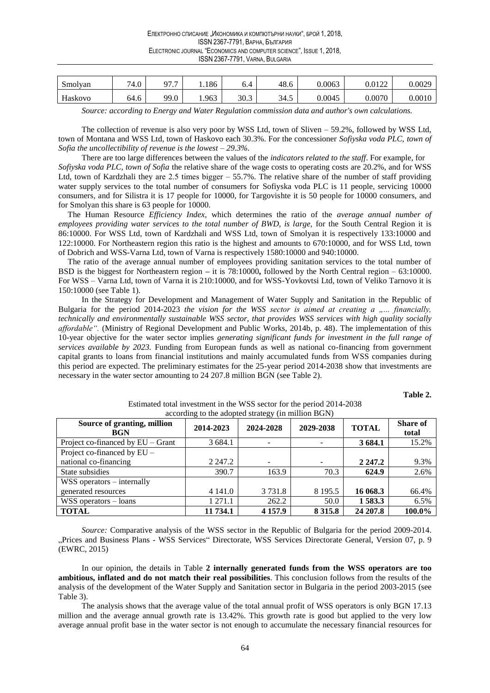| Smolyan | 74.0 | $\overline{ }$<br>∩¬<br>$\cdot$ $\cdot$ | .186  | 0.4            | 48.6 | 0.0063 | 0.0122 | 0.0029 |
|---------|------|-----------------------------------------|-------|----------------|------|--------|--------|--------|
| Haskovo | 64.6 | 99.0                                    | 1.963 | 30.3<br>$\sim$ | 34.5 | 0.0045 | 0.0070 | 0.0010 |

Source: according to Energy and Water Regulation commission data and author's own calculations.

The collection of revenue is also very poor by WSS Ltd, town of Sliven  $-59.2\%$ , followed by WSS Ltd, town of Montana and WSS Ltd, town of Haskovo each 30.3%. For the concessioner Sofiyska voda PLC, town of Sofia the uncollectibility of revenue is the lowest  $-29.3\%$ .

There are too large differences between the values of the indicators related to the staff. For example, for Sofiyska voda PLC, town of Sofia the relative share of the wage costs to operating costs are 20.2%, and for WSS Ltd, town of Kardzhali they are 2.5 times bigger  $-55.7\%$ . The relative share of the number of staff providing water supply services to the total number of consumers for Sofiyska voda PLC is 11 people, servicing 10000 consumers, and for Silistra it is 17 people for 10000, for Targovishte it is 50 people for 10000 consumers, and for Smolyan this share is 63 people for 10000.

The Human Resource *Efficiency Index*, which determines the ratio of the *average annual number of* employees providing water services to the total number of BWD, is large, for the South Central Region it is 86:10000. For WSS Ltd, town of Kardzhali and WSS Ltd, town of Smolyan it is respectively 133:10000 and 122:10000. For Northeastern region this ratio is the highest and amounts to 670:10000, and for WSS Ltd, town of Dobrich and WSS-Varna Ltd, town of Varna is respectively 1580:10000 and 940:10000.

The ratio of the average annual number of employees providing sanitation services to the total number of BSD is the biggest for Northeastern region – it is 78:10000, followed by the North Central region – 63:10000. For WSS - Varna Ltd, town of Varna it is 210:10000, and for WSS-Yovkovtsi Ltd, town of Veliko Tarnovo it is 150:10000 (see Table 1).

In the Strategy for Development and Management of Water Supply and Sanitation in the Republic of Bulgaria for the period 2014-2023 the vision for the WSS sector is aimed at creating a  $, ...$  financially, technically and environmentally sustainable WSS sector, that provides WSS services with high quality socially affordable". (Ministry of Regional Development and Public Works, 2014b, p. 48). The implementation of this 10-year objective for the water sector implies generating significant funds for investment in the full range of services available by 2023. Funding from European funds as well as national co-financing from government capital grants to loans from financial institutions and mainly accumulated funds from WSS companies during this period are expected. The preliminary estimates for the 25-year period 2014-2038 show that investments are necessary in the water sector amounting to 24 207.8 million BGN (see Table 2).

Table 2.

| according to the adopted strategy (in million BGN) |             |            |             |              |                          |  |  |  |
|----------------------------------------------------|-------------|------------|-------------|--------------|--------------------------|--|--|--|
| Source of granting, million<br><b>BGN</b>          | 2014-2023   | 2024-2028  | 2029-2038   | <b>TOTAL</b> | <b>Share of</b><br>total |  |  |  |
| Project co-financed by $EU$ – Grant                | 3 684.1     |            |             | 3 684.1      | 15.2%                    |  |  |  |
| Project co-financed by $EU -$                      |             |            |             |              |                          |  |  |  |
| national co-financing                              | 2 2 4 7 . 2 |            |             | 2 2 4 7 . 2  | 9.3%                     |  |  |  |
| State subsidies                                    | 390.7       | 163.9      | 70.3        | 624.9        | 2.6%                     |  |  |  |
| $WSS$ operators $-$ internally                     |             |            |             |              |                          |  |  |  |
| generated resources                                | 4 141.0     | 3 7 3 1 .8 | 8 1 9 5 . 5 | 16 068.3     | 66.4%                    |  |  |  |
| $WSS$ operators $-$ loans                          | 1 271.1     | 262.2      | 50.0        | 1 583.3      | 6.5%                     |  |  |  |
| <b>TOTAL</b>                                       | 11 734.1    | 4 1 5 7 .9 | 8 3 1 5 .8  | 24 207.8     | 100.0%                   |  |  |  |

Estimated total investment in the WSS sector for the period 2014-2038 adontad strato

Source: Comparative analysis of the WSS sector in the Republic of Bulgaria for the period 2009-2014. "Prices and Business Plans - WSS Services" Directorate, WSS Services Directorate General, Version 07, p. 9 (EWRC, 2015)

In our opinion, the details in Table 2 internally generated funds from the WSS operators are too ambitious, inflated and do not match their real possibilities. This conclusion follows from the results of the analysis of the development of the Water Supply and Sanitation sector in Bulgaria in the period 2003-2015 (see Table 3).

The analysis shows that the average value of the total annual profit of WSS operators is only BGN 17.13 million and the average annual growth rate is 13.42%. This growth rate is good but applied to the very low average annual profit base in the water sector is not enough to accumulate the necessary financial resources for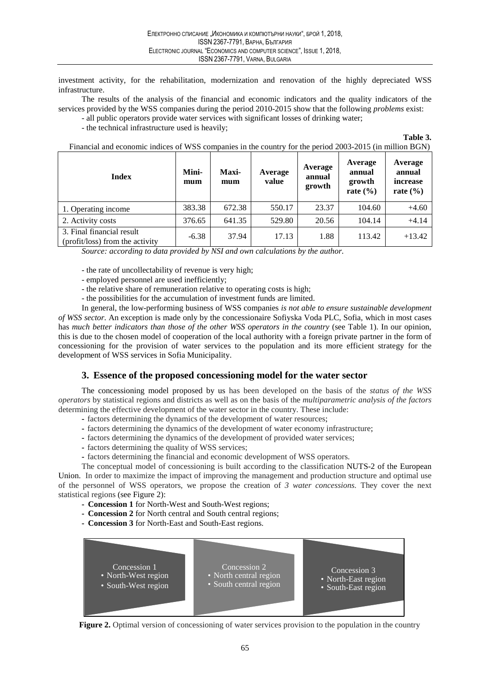investment activity, for the rehabilitation, modernization and renovation of the highly depreciated WSS infrastructure.

The results of the analysis of the financial and economic indicators and the quality indicators of the services provided by the WSS companies during the period 2010-2015 show that the following *problems* exist:

- all public operators provide water services with significant losses of drinking water;

- the technical infrastructure used is heavily:

Table 3.

| <b>Index</b>                                                 | Mini-<br>mum | Maxi-<br>mum | Average<br>value | Average<br>annual<br>growth | Average<br>annual<br>growth<br>rate $(\% )$ | Average<br>annual<br>increase<br>rate $(\% )$ |
|--------------------------------------------------------------|--------------|--------------|------------------|-----------------------------|---------------------------------------------|-----------------------------------------------|
| 1. Operating income                                          | 383.38       | 672.38       | 550.17           | 23.37                       | 104.60                                      | $+4.60$                                       |
| 2. Activity costs                                            | 376.65       | 641.35       | 529.80           | 20.56                       | 104.14                                      | $+4.14$                                       |
| 3. Final financial result<br>(profit/loss) from the activity | $-6.38$      | 37.94        | 17.13            | 1.88                        | 113.42                                      | $+13.42$                                      |

Financial and economic indices of WSS companies in the country for the period 2003-2015 (in million BGN)

Source: according to data provided by NSI and own calculations by the author.

- the rate of uncollectability of revenue is very high;

- employed personnel are used inefficiently;
- the relative share of remuneration relative to operating costs is high;

- the possibilities for the accumulation of investment funds are limited.

In general, the low-performing business of WSS companies is not able to ensure sustainable development of WSS sector. An exception is made only by the concessionaire Sofiyska Voda PLC, Sofia, which in most cases has much better indicators than those of the other WSS operators in the country (see Table 1). In our opinion, this is due to the chosen model of cooperation of the local authority with a foreign private partner in the form of concessioning for the provision of water services to the population and its more efficient strategy for the development of WSS services in Sofia Municipality.

# 3. Essence of the proposed concessioning model for the water sector

The concessioning model proposed by us has been developed on the basis of the *status of the WSS* operators by statistical regions and districts as well as on the basis of the multiparametric analysis of the factors determining the effective development of the water sector in the country. These include:

- factors determining the dynamics of the development of water resources;
- factors determining the dynamics of the development of water economy infrastructure;
- factors determining the dynamics of the development of provided water services;
- factors determining the quality of WSS services;
- factors determining the financial and economic development of WSS operators.

The conceptual model of concessioning is built according to the classification NUTS-2 of the European Union. In order to maximize the impact of improving the management and production structure and optimal use of the personnel of WSS operators, we propose the creation of 3 water concessions. They cover the next statistical regions (see Figure 2):

- Concession 1 for North-West and South-West regions;
- Concession 2 for North central and South central regions;
- Concession 3 for North-East and South-East regions.



Figure 2. Optimal version of concessioning of water services provision to the population in the country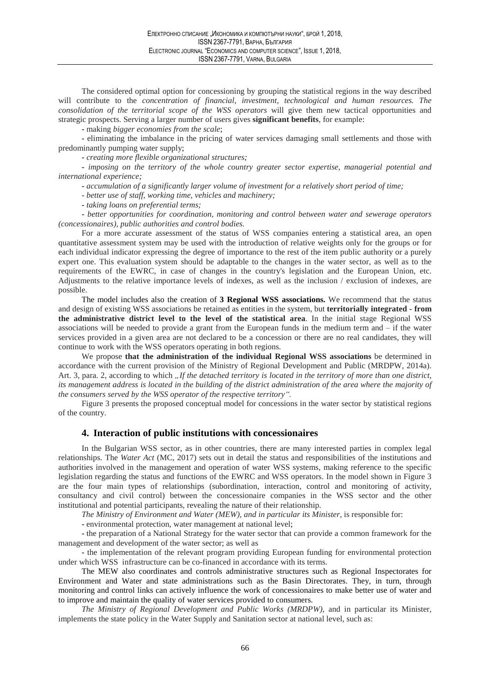The considered optimal option for concessioning by grouping the statistical regions in the way described will contribute to the concentration of financial, investment, technological and human resources. The consolidation of the territorial scope of the WSS operators will give them new tactical opportunities and strategic prospects. Serving a larger number of users gives **significant benefits**, for example:

- making bigger economies from the scale;

- eliminating the imbalance in the pricing of water services damaging small settlements and those with predominantly pumping water supply;

- creating more flexible organizational structures;

- imposing on the territory of the whole country greater sector expertise, managerial potential and international experience:

- accumulation of a significantly larger volume of investment for a relatively short period of time;

- better use of staff, working time, vehicles and machinery;

- taking loans on preferential terms;

- better opportunities for coordination, monitoring and control between water and sewerage operators (concessionaires), public authorities and control bodies.

For a more accurate assessment of the status of WSS companies entering a statistical area, an open quantitative assessment system may be used with the introduction of relative weights only for the groups or for each individual indicator expressing the degree of importance to the rest of the item public authority or a purely expert one. This evaluation system should be adaptable to the changes in the water sector, as well as to the requirements of the EWRC, in case of changes in the country's legislation and the European Union, etc. Adjustments to the relative importance levels of indexes, as well as the inclusion / exclusion of indexes, are possible.

The model includes also the creation of 3 Regional WSS associations. We recommend that the status and design of existing WSS associations be retained as entities in the system, but **territorially integrated - from** the administrative district level to the level of the statistical area. In the initial stage Regional WSS associations will be needed to provide a grant from the European funds in the medium term and  $-$  if the water services provided in a given area are not declared to be a concession or there are no real candidates, they will continue to work with the WSS operators operating in both regions.

We propose that the administration of the individual Regional WSS associations be determined in accordance with the current provision of the Ministry of Regional Development and Public (MRDPW, 2014a). Art. 3, para. 2, according to which "If the detached territory is located in the territory of more than one district, its management address is located in the building of the district administration of the area where the majority of the consumers served by the WSS operator of the respective territory".

Figure 3 presents the proposed conceptual model for concessions in the water sector by statistical regions of the country.

# 4. Interaction of public institutions with concessionaires

In the Bulgarian WSS sector, as in other countries, there are many interested parties in complex legal relationships. The Water Act (MC, 2017) sets out in detail the status and responsibilities of the institutions and authorities involved in the management and operation of water WSS systems, making reference to the specific legislation regarding the status and functions of the EWRC and WSS operators. In the model shown in Figure 3 are the four main types of relationships (subordination, interaction, control and monitoring of activity, consultancy and civil control) between the concessionaire companies in the WSS sector and the other institutional and potential participants, revealing the nature of their relationship.

The Ministry of Environment and Water (MEW), and in particular its Minister, is responsible for:

- environmental protection, water management at national level;

- the preparation of a National Strategy for the water sector that can provide a common framework for the management and development of the water sector; as well as

- the implementation of the relevant program providing European funding for environmental protection under which WSS infrastructure can be co-financed in accordance with its terms.

The MEW also coordinates and controls administrative structures such as Regional Inspectorates for Environment and Water and state administrations such as the Basin Directorates. They, in turn, through monitoring and control links can actively influence the work of concessionaires to make better use of water and to improve and maintain the quality of water services provided to consumers.

The Ministry of Regional Development and Public Works (MRDPW), and in particular its Minister, implements the state policy in the Water Supply and Sanitation sector at national level, such as: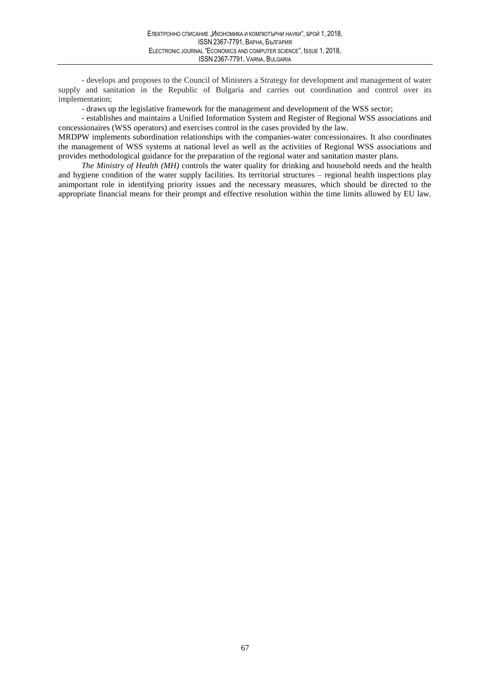- develops and proposes to the Council of Ministers a Strategy for development and management of water supply and sanitation in the Republic of Bulgaria and carries out coordination and control over its implementation:

- draws up the legislative framework for the management and development of the WSS sector;

- establishes and maintains a Unified Information System and Register of Regional WSS associations and concessionaires (WSS operators) and exercises control in the cases provided by the law.

MRDPW implements subordination relationships with the companies-water concessionaires. It also coordinates the management of WSS systems at national level as well as the activities of Regional WSS associations and provides methodological guidance for the preparation of the regional water and sanitation master plans.

The Ministry of Health (MH) controls the water quality for drinking and household needs and the health and hygiene condition of the water supply facilities. Its territorial structures – regional health inspections play animportant role in identifying priority issues and the necessary measures, which should be directed to the appropriate financial means for their prompt and effective resolution within the time limits allowed by EU law.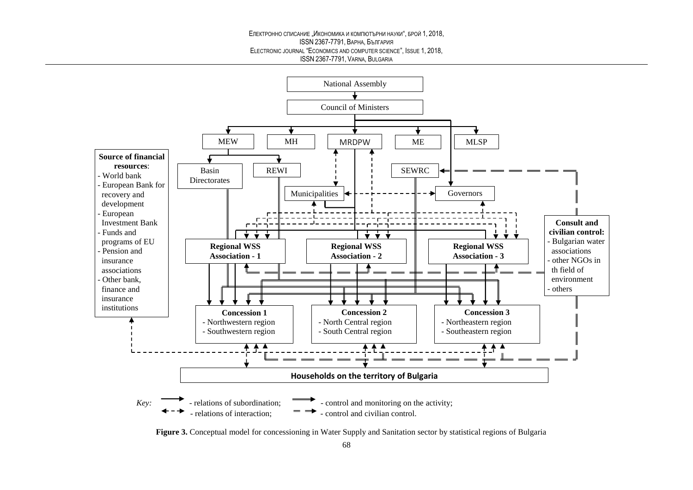#### Електронно списание "Икономика и компютърни науки", брой 1, 2018. **ISSN 2367-7791, ВАРНА, България** ELECTRONIC JOURNAL "ECONOMICS AND COMPUTER SCIENCE", ISSUE 1, 2018, ISSN 2367-7791, VARNA, BULGARIA



Figure 3. Conceptual model for concessioning in Water Supply and Sanitation sector by statistical regions of Bulgaria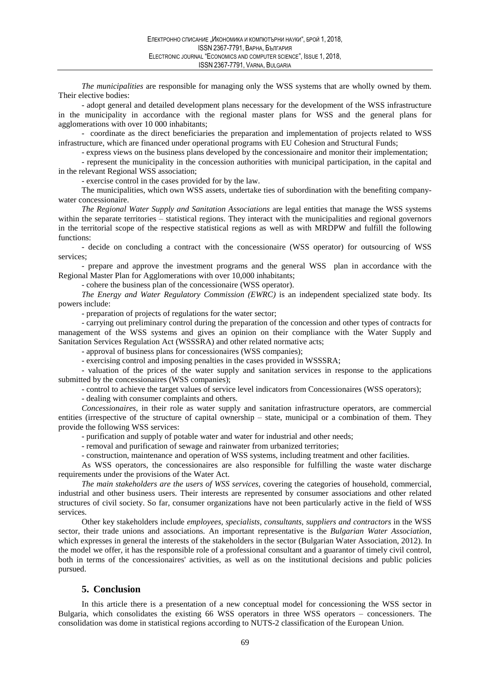The municipalities are responsible for managing only the WSS systems that are wholly owned by them. Their elective bodies:

- adopt general and detailed development plans necessary for the development of the WSS infrastructure in the municipality in accordance with the regional master plans for WSS and the general plans for agglomerations with over 10 000 inhabitants;

- coordinate as the direct beneficiaries the preparation and implementation of projects related to WSS infrastructure, which are financed under operational programs with EU Cohesion and Structural Funds;

- express views on the business plans developed by the concessionaire and monitor their implementation:

- represent the municipality in the concession authorities with municipal participation, in the capital and in the relevant Regional WSS association;

- exercise control in the cases provided for by the law.

The municipalities, which own WSS assets, undertake ties of subordination with the benefiting companywater concessionaire.

The Regional Water Supply and Sanitation Associations are legal entities that manage the WSS systems within the separate territories – statistical regions. They interact with the municipalities and regional governors in the territorial scope of the respective statistical regions as well as with MRDPW and fulfill the following functions:

- decide on concluding a contract with the concessionaire (WSS operator) for outsourcing of WSS services:

- prepare and approve the investment programs and the general WSS plan in accordance with the Regional Master Plan for Agglomerations with over 10,000 inhabitants;

- cohere the business plan of the concessionaire (WSS operator).

The Energy and Water Regulatory Commission (EWRC) is an independent specialized state body. Its powers include:

- preparation of projects of regulations for the water sector:

- carrying out preliminary control during the preparation of the concession and other types of contracts for management of the WSS systems and gives an opinion on their compliance with the Water Supply and Sanitation Services Regulation Act (WSSSRA) and other related normative acts:

- approval of business plans for concessionaires (WSS companies);

- exercising control and imposing penalties in the cases provided in WSSSRA;

- valuation of the prices of the water supply and sanitation services in response to the applications submitted by the concessionaires (WSS companies);

- control to achieve the target values of service level indicators from Concessionaires (WSS operators);

- dealing with consumer complaints and others.

Concessionaires, in their role as water supply and sanitation infrastructure operators, are commercial entities (irrespective of the structure of capital ownership – state, municipal or a combination of them. They provide the following WSS services:

- purification and supply of potable water and water for industrial and other needs;

- removal and purification of sewage and rainwater from urbanized territories;

- construction, maintenance and operation of WSS systems, including treatment and other facilities.

As WSS operators, the concessionaires are also responsible for fulfilling the waste water discharge requirements under the provisions of the Water Act.

The main stakeholders are the users of WSS services, covering the categories of household, commercial, industrial and other business users. Their interests are represented by consumer associations and other related structures of civil society. So far, consumer organizations have not been particularly active in the field of WSS services.

Other key stakeholders include employees, specialists, consultants, suppliers and contractors in the WSS sector, their trade unions and associations. An important representative is the Bulgarian Water Association, which expresses in general the interests of the stakeholders in the sector (Bulgarian Water Association, 2012). In the model we offer, it has the responsible role of a professional consultant and a guarantor of timely civil control, both in terms of the concessionaires' activities, as well as on the institutional decisions and public policies pursued.

# 5. Conclusion

In this article there is a presentation of a new conceptual model for concessioning the WSS sector in Bulgaria, which consolidates the existing 66 WSS operators in three WSS operators – concessioners. The consolidation was dome in statistical regions according to NUTS-2 classification of the European Union.